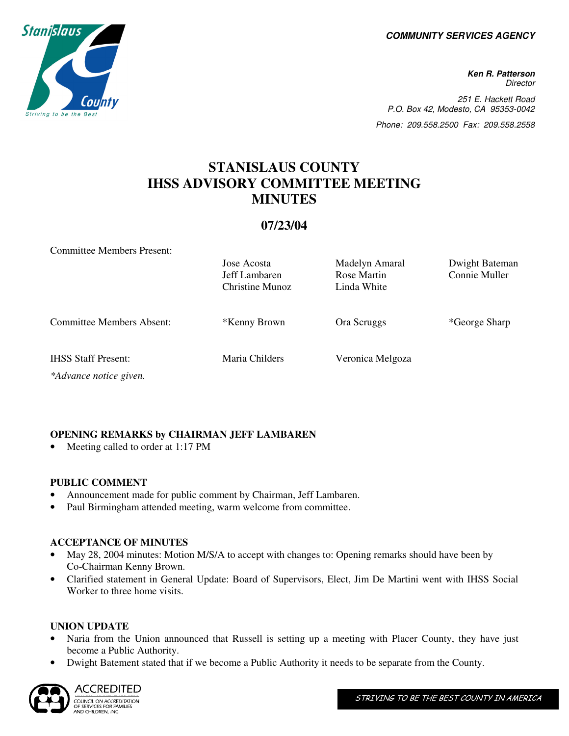**COMMUNITY SERVICES AGENCY** 

**Ken R. Patterson Director** 251 E. Hackett Road P.O. Box 42, Modesto, CA 95353-0042 Phone: 209.558.2500 Fax: 209.558.2558

# **STANISLAUS COUNTY IHSS ADVISORY COMMITTEE MEETING MINUTES**

# **07/23/04**

Committee Members Present:

|                                                      | Jose Acosta<br>Jeff Lambaren<br>Christine Munoz | Madelyn Amaral<br>Rose Martin<br>Linda White | Dwight Bateman<br>Connie Muller |
|------------------------------------------------------|-------------------------------------------------|----------------------------------------------|---------------------------------|
| <b>Committee Members Absent:</b>                     | *Kenny Brown                                    | Ora Scruggs                                  | *George Sharp                   |
| <b>IHSS Staff Present:</b><br>*Advance notice given. | Maria Childers                                  | Veronica Melgoza                             |                                 |

**OPENING REMARKS by CHAIRMAN JEFF LAMBAREN** 

Meeting called to order at 1:17 PM

## **PUBLIC COMMENT**

- Announcement made for public comment by Chairman, Jeff Lambaren.
- Paul Birmingham attended meeting, warm welcome from committee.

## **ACCEPTANCE OF MINUTES**

- May 28, 2004 minutes: Motion M/S/A to accept with changes to: Opening remarks should have been by Co-Chairman Kenny Brown.
- Clarified statement in General Update: Board of Supervisors, Elect, Jim De Martini went with IHSS Social Worker to three home visits.

#### **UNION UPDATE**

- Naria from the Union announced that Russell is setting up a meeting with Placer County, they have just become a Public Authority.
- Dwight Batement stated that if we become a Public Authority it needs to be separate from the County.